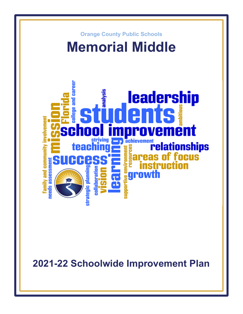

**2021-22 Schoolwide Improvement Plan**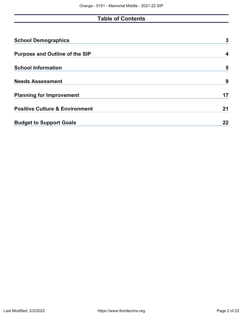# **Table of Contents**

| <b>School Demographics</b>                | 3  |
|-------------------------------------------|----|
| <b>Purpose and Outline of the SIP</b>     | 4  |
| <b>School Information</b>                 | 5  |
| <b>Needs Assessment</b>                   | 9  |
| <b>Planning for Improvement</b>           | 17 |
| <b>Positive Culture &amp; Environment</b> | 21 |
| <b>Budget to Support Goals</b>            | 22 |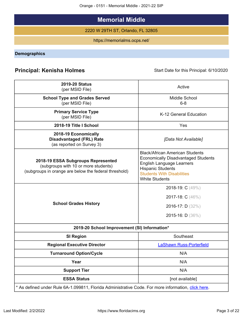Orange - 0151 - Memorial Middle - 2021-22 SIP

# **Memorial Middle**

2220 W 29TH ST, Orlando, FL 32805

https://memorialms.ocps.net/

<span id="page-2-0"></span>**Demographics**

# **Principal: Kenisha Holmes** Start Date for this Principal: 6/10/2020

| <b>2019-20 Status</b><br>(per MSID File)                                                                                            | Active                                                                                                                                                                                                             |
|-------------------------------------------------------------------------------------------------------------------------------------|--------------------------------------------------------------------------------------------------------------------------------------------------------------------------------------------------------------------|
| <b>School Type and Grades Served</b>                                                                                                | Middle School                                                                                                                                                                                                      |
| (per MSID File)                                                                                                                     | $6 - 8$                                                                                                                                                                                                            |
| <b>Primary Service Type</b><br>(per MSID File)                                                                                      | K-12 General Education                                                                                                                                                                                             |
| 2018-19 Title I School                                                                                                              | Yes                                                                                                                                                                                                                |
| 2018-19 Economically<br><b>Disadvantaged (FRL) Rate</b><br>(as reported on Survey 3)                                                | [Data Not Available]                                                                                                                                                                                               |
| 2018-19 ESSA Subgroups Represented<br>(subgroups with 10 or more students)<br>(subgroups in orange are below the federal threshold) | <b>Black/African American Students</b><br><b>Economically Disadvantaged Students</b><br><b>English Language Learners</b><br><b>Hispanic Students</b><br><b>Students With Disabilities</b><br><b>White Students</b> |
| <b>School Grades History</b>                                                                                                        | 2018-19: C (49%)<br>2017-18: C (46%)<br><b>2016-17:</b> $D(32%)$<br>2015-16: D (36%)                                                                                                                               |
| 2019-20 School Improvement (SI) Information*                                                                                        |                                                                                                                                                                                                                    |
| <b>SI Region</b>                                                                                                                    | Southeast                                                                                                                                                                                                          |
| <b>Regional Executive Director</b>                                                                                                  | <b>LaShawn Russ-Porterfield</b>                                                                                                                                                                                    |
| <b>Turnaround Option/Cycle</b>                                                                                                      | N/A                                                                                                                                                                                                                |
| Year                                                                                                                                | N/A                                                                                                                                                                                                                |
| <b>Support Tier</b>                                                                                                                 | N/A                                                                                                                                                                                                                |
| <b>ESSA Status</b>                                                                                                                  | [not available]                                                                                                                                                                                                    |
| * As defined under Rule 6A-1.099811, Florida Administrative Code. For more information, click here.                                 |                                                                                                                                                                                                                    |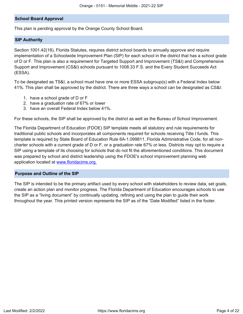### **School Board Approval**

This plan is pending approval by the Orange County School Board.

#### **SIP Authority**

Section 1001.42(18), Florida Statutes, requires district school boards to annually approve and require implementation of a Schoolwide Improvement Plan (SIP) for each school in the district that has a school grade of D or F. This plan is also a requirement for Targeted Support and Improvement (TS&I) and Comprehensive Support and Improvement (CS&I) schools pursuant to 1008.33 F.S. and the Every Student Succeeds Act (ESSA).

To be designated as TS&I, a school must have one or more ESSA subgroup(s) with a Federal Index below 41%. This plan shall be approved by the district. There are three ways a school can be designated as CS&I:

- 1. have a school grade of D or F
- 2. have a graduation rate of 67% or lower
- 3. have an overall Federal Index below 41%.

For these schools, the SIP shall be approved by the district as well as the Bureau of School Improvement.

The Florida Department of Education (FDOE) SIP template meets all statutory and rule requirements for traditional public schools and incorporates all components required for schools receiving Title I funds. This template is required by State Board of Education Rule 6A-1.099811, Florida Administrative Code, for all noncharter schools with a current grade of D or F, or a graduation rate 67% or less. Districts may opt to require a SIP using a template of its choosing for schools that do not fit the aforementioned conditions. This document was prepared by school and district leadership using the FDOE's school improvement planning web application located at [www.floridacims.org.](https://www.floridacims.org)

#### <span id="page-3-0"></span>**Purpose and Outline of the SIP**

The SIP is intended to be the primary artifact used by every school with stakeholders to review data, set goals, create an action plan and monitor progress. The Florida Department of Education encourages schools to use the SIP as a "living document" by continually updating, refining and using the plan to guide their work throughout the year. This printed version represents the SIP as of the "Date Modified" listed in the footer.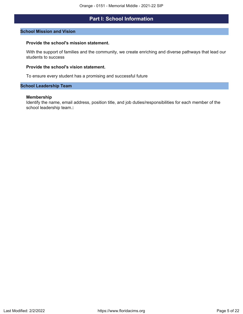# **Part I: School Information**

#### <span id="page-4-0"></span>**School Mission and Vision**

#### **Provide the school's mission statement.**

With the support of families and the community, we create enriching and diverse pathways that lead our students to success

### **Provide the school's vision statement.**

To ensure every student has a promising and successful future

### **School Leadership Team**

### **Membership**

Identify the name, email address, position title, and job duties/responsibilities for each member of the school leadership team.**:**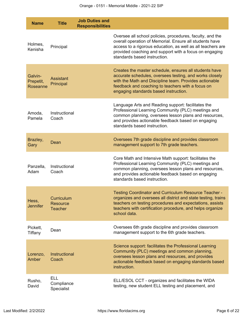| <b>Name</b>                      | <b>Title</b>                                    | <b>Job Duties and</b><br><b>Responsibilities</b> |                                                                                                                                                                                                                                                                               |
|----------------------------------|-------------------------------------------------|--------------------------------------------------|-------------------------------------------------------------------------------------------------------------------------------------------------------------------------------------------------------------------------------------------------------------------------------|
| Holmes,<br>Kenisha               | Principal                                       |                                                  | Oversee all school policies, procedures, faculty, and the<br>overall operation of Memorial. Ensure all students have<br>access to a rigorous education, as well as all teachers are<br>provided coaching and support with a focus on engaging<br>standards based instruction. |
| Galvin-<br>Prepetit,<br>Roseanne | <b>Assistant</b><br>Principal                   |                                                  | Creates the master schedule, ensures all students have<br>accurate schedules, oversees testing, and works closely<br>with the Math and Discipline team. Provides actionable<br>feedback and coaching to teachers with a focus on<br>engaging standards based instruction.     |
| Amoda,<br>Pamela                 | Instructional<br>Coach                          |                                                  | Language Arts and Reading support: facilitates the<br>Professional Learning Community (PLC) meetings and<br>common planning, oversees lesson plans and resources,<br>and provides actionable feedback based on engaging<br>standards based instruction.                       |
| Brazley,<br>Gary                 | Dean                                            |                                                  | Oversees 7th grade discipline and provides classroom<br>management support to 7th grade teachers.                                                                                                                                                                             |
| Panzella,<br>Adam                | Instructional<br>Coach                          |                                                  | Core Math and Intensive Math support: facilitates the<br>Professional Learning Community (PLC) meetings and<br>common planning, oversees lesson plans and resources,<br>and provides actionable feedback based on engaging<br>standards based instruction.                    |
| Hess,<br><b>Jennifer</b>         | <b>Curriculum</b><br>Resource<br><b>Teacher</b> |                                                  | Testing Coordinator and Curriculum Resource Teacher -<br>organizes and oversees all district and state testing, trains<br>teachers on testing procedures and expectations, assists<br>teachers with certification procedure, and helps organize<br>school data.               |
| Pickett,<br>Tiffany              | Dean                                            |                                                  | Oversees 6th grade discipline and provides classroom<br>management support to the 6th grade teachers.                                                                                                                                                                         |
| Lorenzo,<br>Amber                | Instructional<br>Coach                          |                                                  | Science support: facilitates the Professional Learning<br>Community (PLC) meetings and common planning,<br>oversees lesson plans and resources, and provides<br>actionable feedback based on engaging standards based<br>instruction.                                         |
| Rusho,<br>David                  | <b>ELL</b><br>Compliance<br>Specialist          |                                                  | ELL/ESOL CCT - organizes and facilitates the WIDA<br>testing, new student ELL testing and placement, and                                                                                                                                                                      |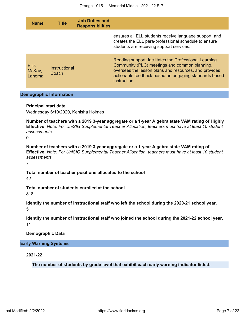| <b>Name</b>                      | <b>Title</b>                   | <b>Job Duties and</b><br><b>Responsibilities</b>          |                                                                                                                                                                                                                                           |
|----------------------------------|--------------------------------|-----------------------------------------------------------|-------------------------------------------------------------------------------------------------------------------------------------------------------------------------------------------------------------------------------------------|
|                                  |                                |                                                           | ensures all ELL students receive language support, and<br>creates the ELL para-professional schedule to ensure<br>students are receiving support services.                                                                                |
| <b>Ellis</b><br>McKay,<br>Lanoma | <b>Instructional</b><br>Coach  |                                                           | Reading support: facilitates the Professional Learning<br>Community (PLC) meetings and common planning,<br>oversees the lesson plans and resources, and provides<br>actionable feedback based on engaging standards based<br>instruction. |
|                                  | <b>Demographic Information</b> |                                                           |                                                                                                                                                                                                                                           |
| <b>Principal start date</b>      |                                | Wednesday 6/10/2020, Kenisha Holmes                       |                                                                                                                                                                                                                                           |
| assessments.<br>0                |                                |                                                           | Number of teachers with a 2019 3-year aggregate or a 1-year Algebra state VAM rating of Highly<br>Effective. Note: For UniSIG Supplemental Teacher Allocation, teachers must have at least 10 student                                     |
| assessments.<br>$\overline{7}$   |                                |                                                           | Number of teachers with a 2019 3-year aggregate or a 1-year Algebra state VAM rating of<br><b>Effective.</b> Note: For UniSIG Supplemental Teacher Allocation, teachers must have at least 10 student                                     |
| 42                               |                                | Total number of teacher positions allocated to the school |                                                                                                                                                                                                                                           |
| 818                              |                                | Total number of students enrolled at the school           |                                                                                                                                                                                                                                           |
| 5                                |                                |                                                           | Identify the number of instructional staff who left the school during the 2020-21 school year.                                                                                                                                            |
| 11                               |                                |                                                           | Identify the number of instructional staff who joined the school during the 2021-22 school year.                                                                                                                                          |
| <b>Demographic Data</b>          |                                |                                                           |                                                                                                                                                                                                                                           |
| <b>Early Warning Systems</b>     |                                |                                                           |                                                                                                                                                                                                                                           |
| 2021-22                          |                                |                                                           |                                                                                                                                                                                                                                           |

**The number of students by grade level that exhibit each early warning indicator listed:**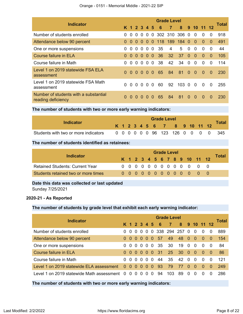| <b>Indicator</b>                                            |              |          |          |          |                |                |                   | <b>Grade Level</b> |           |          |               |              |          |       |
|-------------------------------------------------------------|--------------|----------|----------|----------|----------------|----------------|-------------------|--------------------|-----------|----------|---------------|--------------|----------|-------|
|                                                             |              |          |          |          | K 1 2 3 4 5    |                | - 6               | $\overline{7}$     | 8         |          | $9 \t10 \t11$ |              |          | Total |
| Number of students enrolled                                 | 0            | $\Omega$ | $\Omega$ | $\Omega$ | $\overline{0}$ | $\Omega$       | 302 310 306 0     |                    |           |          | $\Omega$      | $\Omega$     | $\Omega$ | 918   |
| Attendance below 90 percent                                 | 0            | $\Omega$ | $\Omega$ | $\Omega$ |                |                | 0 0 118 189 184 0 |                    |           |          | - 0           | $\Omega$     | $\Omega$ | 491   |
| One or more suspensions                                     | 0            | $\Omega$ | $\Omega$ | $\Omega$ |                | 0 <sub>0</sub> | 35                | 4                  | 5         | $\Omega$ | $\Omega$      | $\Omega$     | $\Omega$ | 44    |
| Course failure in ELA                                       | 0            | $\Omega$ | $\Omega$ | $\Omega$ | $\Omega$       | $\Omega$       | 36                | 32                 | 37        | $\Omega$ | $\Omega$      | $\Omega$     | $\Omega$ | 105   |
| Course failure in Math                                      | 0            | $\Omega$ | $\Omega$ | $\Omega$ | $\Omega$       | $\Omega$       | 38                | 42                 | 34        | $\Omega$ | $\Omega$      | 0            | 0        | 114   |
| Level 1 on 2019 statewide FSA ELA<br>assessment             | $\Omega$     | $\Omega$ | $\Omega$ | $\Omega$ | 0 <sub>0</sub> |                | 65                | 84                 | 81        | $\Omega$ | $\Omega$      | $\Omega$     | $\Omega$ | 230   |
| Level 1 on 2019 statewide FSA Math<br>assessment            | 0            | $\Omega$ | $\Omega$ | $\Omega$ | $\Omega$       | $\Omega$       | 60.               | 92                 | $103 \ 0$ |          | $\Omega$      | $\Omega$     | $\Omega$ | 255   |
| Number of students with a substantial<br>reading deficiency | <sup>0</sup> | $\Omega$ |          |          |                | $\Omega$       | 65                | 84                 | 81        | $\Omega$ | $\Omega$      | <sup>0</sup> | O        | 230   |

**The number of students with two or more early warning indicators:**

| Indicator                            |  | <b>Grade Level</b> |  |  |  |  |  |                              |  |  |  |  |  |                                    |  |  |
|--------------------------------------|--|--------------------|--|--|--|--|--|------------------------------|--|--|--|--|--|------------------------------------|--|--|
|                                      |  |                    |  |  |  |  |  | K 1 2 3 4 5 6 7 8 9 10 11 12 |  |  |  |  |  | Total                              |  |  |
| Students with two or more indicators |  |                    |  |  |  |  |  |                              |  |  |  |  |  | 0 0 0 0 0 0 96 123 126 0 0 0 0 345 |  |  |

## **The number of students identified as retainees:**

| Indicator                              |  |  |  | <b>Grade Level</b> |  |  |                              |       |
|----------------------------------------|--|--|--|--------------------|--|--|------------------------------|-------|
|                                        |  |  |  |                    |  |  | K 1 2 3 4 5 6 7 8 9 10 11 12 | Total |
| <b>Retained Students: Current Year</b> |  |  |  |                    |  |  | 0 0 0 0 0 0 0 0 0 0 0 0 0    |       |
| Students retained two or more times    |  |  |  |                    |  |  | 0000000000000                |       |

# **Date this data was collected or last updated**

Sunday 7/25/2021

# **2020-21 - As Reported**

# **The number of students by grade level that exhibit each early warning indicator:**

| Indicator                                           |          |          |                |          |                               |          |                      | <b>Grade Level</b> |    |              |              |              |          | Total |
|-----------------------------------------------------|----------|----------|----------------|----------|-------------------------------|----------|----------------------|--------------------|----|--------------|--------------|--------------|----------|-------|
|                                                     |          |          |                |          |                               |          | K 1 2 3 4 5 6        | $\overline{7}$     |    |              | 8 9 10 11 12 |              |          |       |
| Number of students enrolled                         | 0        | $\Omega$ | -0             |          | 0 <sub>0</sub>                |          |                      | 0 338 294 257      |    | - 0          | $\Omega$     | $\Omega$     | $\Omega$ | 889   |
| Attendance below 90 percent                         | $\Omega$ | $\Omega$ | 0              | -0       | $\overline{0}$ $\overline{0}$ |          | 57                   | 49                 | 48 | $\Omega$     | - 0          | $\Omega$     | 0        | 154   |
| One or more suspensions                             | 0        | $\Omega$ | - 0            |          | $0\,0\,0$                     |          | - 35                 | -30                | 19 | $\Omega$     | $\Omega$     | $\Omega$     | 0        | 84    |
| Course failure in ELA                               | 0        | $\Omega$ | 0              | - 0      |                               |          | $0 \quad 0 \quad 31$ | <b>25</b>          | 30 | $\Omega$     | $\Omega$     | $\Omega$     | $\Omega$ | 86    |
| Course failure in Math                              | 0        | $\Omega$ | $\Omega$       | $\Omega$ | $\Omega$                      | $\Omega$ | 44                   | 35                 | 42 | $\Omega$     | $\Omega$     | $\Omega$     | $\Omega$ | 121   |
| Level 1 on 2019 statewide ELA assessment            | $\Omega$ | $\Omega$ | $\overline{0}$ | - 0      | 0                             | - 0      | -93                  | 79                 | 77 | $\Omega$     | $\Omega$     | $\Omega$     | $\Omega$ | 249   |
| Level 1 on 2019 statewide Math assessment 0 0 0 0 0 |          |          |                |          | $\overline{0}$                | 0        | -94                  | 103                | 89 | <sup>0</sup> | <sup>0</sup> | <sup>0</sup> |          | 286   |

# **The number of students with two or more early warning indicators:**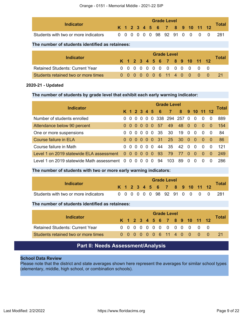| <b>Indicator</b>                     |  |  |  | <b>Grade Level</b> |  |  |                              | <b>Total</b>                     |
|--------------------------------------|--|--|--|--------------------|--|--|------------------------------|----------------------------------|
|                                      |  |  |  |                    |  |  | K 1 2 3 4 5 6 7 8 9 10 11 12 |                                  |
| Students with two or more indicators |  |  |  |                    |  |  |                              | 0 0 0 0 0 0 98 92 91 0 0 0 0 281 |

# **The number of students identified as retainees:**

| Indicator                              |  |  |  | <b>Grade Level</b> |  |                              |  |       |
|----------------------------------------|--|--|--|--------------------|--|------------------------------|--|-------|
|                                        |  |  |  |                    |  | K 1 2 3 4 5 6 7 8 9 10 11 12 |  | Total |
| <b>Retained Students: Current Year</b> |  |  |  |                    |  |                              |  |       |
| Students retained two or more times    |  |  |  |                    |  | 0 0 0 0 0 0 6 11 4 0 0 0 0   |  |       |

# **2020-21 - Updated**

## **The number of students by grade level that exhibit each early warning indicator:**

| <b>Indicator</b>                            |                |          |          |          |          |                |     | <b>Grade Level</b> |    |              |                |          |          | <b>Total</b> |
|---------------------------------------------|----------------|----------|----------|----------|----------|----------------|-----|--------------------|----|--------------|----------------|----------|----------|--------------|
|                                             |                | K 1 2 3  |          |          | 4 5      |                | - 6 | $\overline{7}$     | 8  |              | 9 10 11 12     |          |          |              |
| Number of students enrolled                 | 0              | -0       | - 0      | $\Omega$ | $\Omega$ |                |     | 0 338 294 257      |    | $\Omega$     | $\Omega$       | $\Omega$ | $\Omega$ | 889          |
| Attendance below 90 percent                 | 0 <sub>0</sub> |          | - 0      | $\Omega$ | $\Omega$ | $\Omega$       | 57  | 49                 | 48 | $\bullet$    | $\overline{0}$ | $\Omega$ | 0        | 154          |
| One or more suspensions                     | 0              | $\Omega$ | - 0      | - 0      | - 0      | $\overline{0}$ | -35 | 30                 | 19 | $\Omega$     | $\Omega$       | $\Omega$ | $\Omega$ | 84           |
| Course failure in ELA                       | 0 <sub>0</sub> |          | $\Omega$ | - 0      | $\Omega$ | $\Omega$       | -31 | 25                 | 30 | - 0          | $\Omega$       | $\Omega$ | -0       | 86           |
| Course failure in Math                      | 0              | $\Omega$ | $\Omega$ | $\Omega$ | $\Omega$ | $\Omega$       | 44  | 35                 | 42 | $\Omega$     | $\Omega$       | $\Omega$ | $\Omega$ | 121          |
| Level 1 on 2019 statewide ELA assessment    | 0 <sub>0</sub> |          | 0        | - 0      | 0        | 0              | 93  | 79                 | 77 | $\Omega$     | 0              | $\Omega$ | $\Omega$ | 249          |
| Level 1 on 2019 statewide Math assessment 0 |                | $\Omega$ | 0        | 0        | $\Omega$ | $\Omega$       | 94  | 103                | 89 | <sup>0</sup> | $\Omega$       |          |          | 286          |

# **The number of students with two or more early warning indicators:**

| Indicator                            |  |  |  |  | <b>Grade Level</b> |  |  |                              | Total |
|--------------------------------------|--|--|--|--|--------------------|--|--|------------------------------|-------|
|                                      |  |  |  |  |                    |  |  | K 1 2 3 4 5 6 7 8 9 10 11 12 |       |
| Students with two or more indicators |  |  |  |  |                    |  |  | 0 0 0 0 0 0 98 92 91 0 0 0 0 | -281  |

## **The number of students identified as retainees:**

|                                        | <b>Grade Level</b> |  |  |  |  |  |  |  |  |  |                              |       |
|----------------------------------------|--------------------|--|--|--|--|--|--|--|--|--|------------------------------|-------|
| Indicator                              |                    |  |  |  |  |  |  |  |  |  | K 1 2 3 4 5 6 7 8 9 10 11 12 | Total |
| <b>Retained Students: Current Year</b> |                    |  |  |  |  |  |  |  |  |  | 0000000000000                |       |
| Students retained two or more times    |                    |  |  |  |  |  |  |  |  |  | 0 0 0 0 0 0 6 11 4 0 0 0 0   | -21   |

# **Part II: Needs Assessment/Analysis**

## <span id="page-8-0"></span>**School Data Review**

Please note that the district and state averages shown here represent the averages for similar school types (elementary, middle, high school, or combination schools).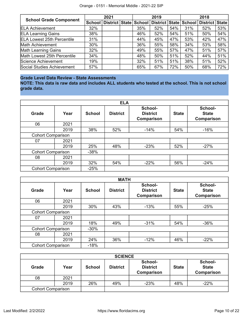| <b>School Grade Component</b>     |        | 2021                  |     | 2019                  |     |     | 2018           |     |
|-----------------------------------|--------|-----------------------|-----|-----------------------|-----|-----|----------------|-----|
|                                   | School | District State School |     | District State School |     |     | District State |     |
| <b>ELA Achievement</b>            | 32%    |                       | 35% | 52%                   | 54% | 31% | 52%            | 53% |
| <b>ELA Learning Gains</b>         | 38%    |                       | 46% | 52%                   | 54% | 51% | 50%            | 54% |
| <b>ELA Lowest 25th Percentile</b> | 31%    |                       | 44% | 45%                   | 47% | 53% | 42%            | 47% |
| Math Achievement                  | 30%    |                       | 36% | 55%                   | 58% | 34% | 53%            | 58% |
| <b>Math Learning Gains</b>        | 32%    |                       | 49% | 55%                   | 57% | 47% | 51%            | 57% |
| Math Lowest 25th Percentile       | 34%    |                       | 48% | 50%                   | 51% | 52% | 44%            | 51% |
| Science Achievement               | 19%    |                       | 32% | 51%                   | 51% | 38% | 51%            | 52% |
| Social Studies Achievement        | 57%    |                       | 65% | 67%                   | 72% | 50% | 68%            | 72% |

# **Grade Level Data Review - State Assessments**

**NOTE: This data is raw data and includes ALL students who tested at the school. This is not school grade data.**

|                          |      |               | <b>ELA</b>      |                                                 |              |                                              |
|--------------------------|------|---------------|-----------------|-------------------------------------------------|--------------|----------------------------------------------|
| <b>Grade</b>             | Year | <b>School</b> | <b>District</b> | School-<br><b>District</b><br><b>Comparison</b> | <b>State</b> | School-<br><b>State</b><br><b>Comparison</b> |
| 06                       | 2021 |               |                 |                                                 |              |                                              |
|                          | 2019 | 38%           | 52%             | $-14%$                                          | 54%          | $-16%$                                       |
| <b>Cohort Comparison</b> |      |               |                 |                                                 |              |                                              |
| 07                       | 2021 |               |                 |                                                 |              |                                              |
|                          | 2019 | 25%           | 48%             | $-23%$                                          | 52%          | $-27%$                                       |
| <b>Cohort Comparison</b> |      | $-38%$        |                 |                                                 |              |                                              |
| 08                       | 2021 |               |                 |                                                 |              |                                              |
|                          | 2019 | 32%           | 54%             | $-22%$                                          | 56%          | $-24%$                                       |
| <b>Cohort Comparison</b> |      | $-25%$        |                 |                                                 |              |                                              |

|                          |      |               | <b>MATH</b>     |                                                 |              |                                              |
|--------------------------|------|---------------|-----------------|-------------------------------------------------|--------------|----------------------------------------------|
| <b>Grade</b>             | Year | <b>School</b> | <b>District</b> | School-<br><b>District</b><br><b>Comparison</b> | <b>State</b> | School-<br><b>State</b><br><b>Comparison</b> |
| 06                       | 2021 |               |                 |                                                 |              |                                              |
|                          | 2019 | 30%           | 43%             | $-13%$                                          | 55%          | $-25%$                                       |
| <b>Cohort Comparison</b> |      |               |                 |                                                 |              |                                              |
| 07                       | 2021 |               |                 |                                                 |              |                                              |
|                          | 2019 | 18%           | 49%             | $-31%$                                          | 54%          | $-36%$                                       |
| <b>Cohort Comparison</b> |      | $-30%$        |                 |                                                 |              |                                              |
| 08                       | 2021 |               |                 |                                                 |              |                                              |
|                          | 2019 | 24%           | 36%             | $-12%$                                          | 46%          | $-22%$                                       |
| <b>Cohort Comparison</b> |      | $-18%$        |                 |                                                 |              |                                              |

|                          |      |               | <b>SCIENCE</b>  |                                                 |              |                                       |
|--------------------------|------|---------------|-----------------|-------------------------------------------------|--------------|---------------------------------------|
| Grade                    | Year | <b>School</b> | <b>District</b> | School-<br><b>District</b><br><b>Comparison</b> | <b>State</b> | School-<br><b>State</b><br>Comparison |
| 08                       | 2021 |               |                 |                                                 |              |                                       |
|                          | 2019 | 26%           | 49%             | $-23%$                                          | 48%          | $-22%$                                |
| <b>Cohort Comparison</b> |      |               |                 |                                                 |              |                                       |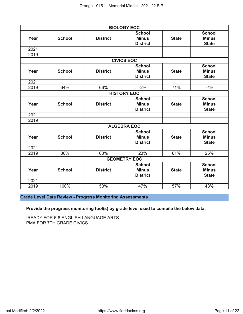|      |               |                 | <b>BIOLOGY EOC</b>  |              |               |
|------|---------------|-----------------|---------------------|--------------|---------------|
|      |               |                 | <b>School</b>       |              | <b>School</b> |
| Year | <b>School</b> | <b>District</b> | <b>Minus</b>        | <b>State</b> | <b>Minus</b>  |
|      |               |                 | <b>District</b>     |              | <b>State</b>  |
| 2021 |               |                 |                     |              |               |
| 2019 |               |                 |                     |              |               |
|      |               |                 | <b>CIVICS EOC</b>   |              |               |
|      |               |                 | <b>School</b>       |              | <b>School</b> |
| Year | <b>School</b> | <b>District</b> | <b>Minus</b>        | <b>State</b> | <b>Minus</b>  |
|      |               |                 | <b>District</b>     |              | <b>State</b>  |
| 2021 |               |                 |                     |              |               |
| 2019 | 64%           | 66%             | $-2%$               | 71%          | $-7%$         |
|      |               |                 | <b>HISTORY EOC</b>  |              |               |
|      |               |                 | <b>School</b>       |              | <b>School</b> |
| Year | <b>School</b> | <b>District</b> | <b>Minus</b>        | <b>State</b> | <b>Minus</b>  |
|      |               |                 | <b>District</b>     |              | <b>State</b>  |
| 2021 |               |                 |                     |              |               |
| 2019 |               |                 |                     |              |               |
|      |               |                 | <b>ALGEBRA EOC</b>  |              |               |
|      |               |                 | <b>School</b>       |              | <b>School</b> |
| Year | <b>School</b> | <b>District</b> | <b>Minus</b>        | <b>State</b> | <b>Minus</b>  |
|      |               |                 | <b>District</b>     |              | <b>State</b>  |
| 2021 |               |                 |                     |              |               |
| 2019 | 86%           | 63%             | 23%                 | 61%          | 25%           |
|      |               |                 | <b>GEOMETRY EOC</b> |              |               |
|      |               |                 | <b>School</b>       |              | <b>School</b> |
| Year | <b>School</b> | <b>District</b> | <b>Minus</b>        | <b>State</b> | <b>Minus</b>  |
|      |               |                 | <b>District</b>     |              | <b>State</b>  |
| 2021 |               |                 |                     |              |               |
| 2019 | 100%          | 53%             | 47%                 | 57%          | 43%           |

# **Grade Level Data Review - Progress Monitoring Assessments**

**Provide the progress monitoring tool(s) by grade level used to compile the below data.**

IREADY FOR 6-8 ENGLISH LANGUAGE ARTS PMA FOR 7TH GRADE CIVICS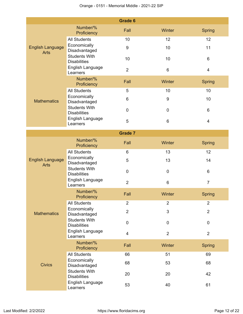|                                        |                                             | <b>Grade 6</b>   |                  |                |
|----------------------------------------|---------------------------------------------|------------------|------------------|----------------|
|                                        | Number/%<br>Proficiency                     | Fall             | Winter           | Spring         |
|                                        | <b>All Students</b>                         | 10               | 12               | 12             |
| <b>English Language</b><br><b>Arts</b> | Economically<br>Disadvantaged               | $\boldsymbol{9}$ | 10               | 11             |
|                                        | <b>Students With</b><br><b>Disabilities</b> | 10               | 10               | 6              |
|                                        | English Language<br>Learners                | $\overline{2}$   | 6                | 4              |
|                                        | Number/%<br>Proficiency                     | Fall             | Winter           | <b>Spring</b>  |
|                                        | <b>All Students</b>                         | 5                | 10               | 10             |
| <b>Mathematics</b>                     | Economically<br>Disadvantaged               | 6                | $\boldsymbol{9}$ | 10             |
|                                        | <b>Students With</b><br><b>Disabilities</b> | 0                | $\pmb{0}$        | 6              |
|                                        | English Language<br>Learners                | 5                | $6\phantom{1}$   | 4              |
|                                        |                                             | <b>Grade 7</b>   |                  |                |
|                                        | Number/%<br>Proficiency                     | Fall             | Winter           | <b>Spring</b>  |
|                                        | <b>All Students</b>                         | 6                | 13               | 12             |
| <b>English Language</b><br><b>Arts</b> | Economically<br>Disadvantaged               | 5                | 13               | 14             |
|                                        | <b>Students With</b><br><b>Disabilities</b> | $\mathbf 0$      | $\mathbf 0$      | 6              |
|                                        | English Language<br>Learners                | $\overline{2}$   | $6\phantom{1}$   | $\overline{7}$ |
|                                        | Number/%<br>Proficiency                     | Fall             | Winter           | Spring         |
|                                        | <b>All Students</b>                         | $\overline{2}$   | $\overline{2}$   | $\overline{2}$ |
| <b>Mathematics</b>                     | Economically<br>Disadvantaged               | $\overline{2}$   | 3                | $\overline{2}$ |
|                                        | <b>Students With</b><br><b>Disabilities</b> | $\pmb{0}$        | $\pmb{0}$        | $\mathbf 0$    |
|                                        | English Language<br>Learners                | 4                | $\overline{2}$   | $\overline{2}$ |
|                                        | Number/%<br>Proficiency                     | Fall             | Winter           | <b>Spring</b>  |
|                                        | <b>All Students</b>                         | 66               | 51               | 69             |
| <b>Civics</b>                          | Economically<br>Disadvantaged               | 68               | 53               | 68             |
|                                        | <b>Students With</b><br><b>Disabilities</b> | 20               | 20               | 42             |
|                                        | English Language<br>Learners                | 53               | 40               | 61             |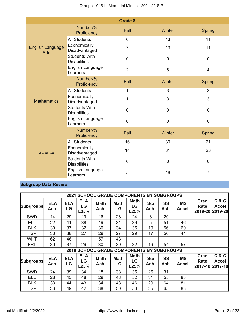|                                        |                                             | <b>Grade 8</b> |             |                |
|----------------------------------------|---------------------------------------------|----------------|-------------|----------------|
|                                        | Number/%<br>Proficiency                     | Fall           | Winter      | <b>Spring</b>  |
|                                        | <b>All Students</b>                         | 6              | 13          | 11             |
| <b>English Language</b><br><b>Arts</b> | Economically<br>Disadvantaged               | $\overline{7}$ | 13          | 11             |
|                                        | <b>Students With</b><br><b>Disabilities</b> | $\mathbf 0$    | $\mathbf 0$ | $\pmb{0}$      |
|                                        | English Language<br>Learners                | $\overline{2}$ | 8           | $\overline{4}$ |
|                                        | Number/%<br>Proficiency                     | Fall           | Winter      | <b>Spring</b>  |
|                                        | <b>All Students</b>                         | 1              | 3           | 3              |
| <b>Mathematics</b>                     | Economically<br>Disadvantaged               | 1              | 3           | 3              |
|                                        | <b>Students With</b><br><b>Disabilities</b> | 0              | 0           | $\mathbf 0$    |
|                                        | English Language<br>Learners                | 0              | 0           | $\pmb{0}$      |
|                                        | Number/%<br>Proficiency                     | Fall           | Winter      | <b>Spring</b>  |
|                                        | <b>All Students</b>                         | 16             | 30          | 21             |
| <b>Science</b>                         | Economically<br>Disadvantaged               | 14             | 31          | 23             |
|                                        | <b>Students With</b><br><b>Disabilities</b> | 0              | $\mathbf 0$ | $\overline{0}$ |
|                                        | English Language<br>Learners                | 5              | 18          | 7              |

# **Subgroup Data Review**

|                  |                    |                  |                          | <b>2021 SCHOOL GRADE COMPONENTS BY SUBGROUPS</b> |                   |                           |             |                   |                     |                                 |                       |
|------------------|--------------------|------------------|--------------------------|--------------------------------------------------|-------------------|---------------------------|-------------|-------------------|---------------------|---------------------------------|-----------------------|
| <b>Subgroups</b> | <b>ELA</b><br>Ach. | <b>ELA</b><br>LG | <b>ELA</b><br>LG<br>L25% | <b>Math</b><br>Ach.                              | <b>Math</b><br>LG | <b>Math</b><br>LG<br>L25% | Sci<br>Ach. | <b>SS</b><br>Ach. | <b>MS</b><br>Accel. | Grad<br>Rate<br>2019-20 2019-20 | C & C<br>Accel        |
| <b>SWD</b>       | 14                 | 29               | 19                       | 16                                               | 28                | 24                        | 8           | 29                |                     |                                 |                       |
| ELL              | 22                 | 41               | 38                       | 19                                               | 31                | 39                        | 5           | 51                | 46                  |                                 |                       |
| <b>BLK</b>       | 30                 | 37               | 32                       | 30                                               | 34                | 35                        | 19          | 56                | 60                  |                                 |                       |
| <b>HSP</b>       | 33                 | 38               | 27                       | 29                                               | 27                | 29                        | 17          | 56                | 44                  |                                 |                       |
| WHT              | 62                 | 46               |                          | 57                                               | 43                |                           |             |                   |                     |                                 |                       |
| <b>FRL</b>       | 30                 | 37               | 29                       | 30                                               | 30                | 32                        | 19          | 54                | 57                  |                                 |                       |
|                  |                    |                  |                          | 2019 SCHOOL GRADE COMPONENTS BY SUBGROUPS        |                   |                           |             |                   |                     |                                 |                       |
| <b>Subgroups</b> | <b>ELA</b><br>Ach. | <b>ELA</b><br>LG | <b>ELA</b><br>LG<br>L25% | <b>Math</b><br>Ach.                              | <b>Math</b><br>LG | <b>Math</b><br>LG<br>L25% | Sci<br>Ach. | SS<br>Ach.        | <b>MS</b><br>Accel. | Grad<br>Rate<br>2017-18 2017-18 | C & C<br><b>Accel</b> |
| <b>SWD</b>       | 24                 | 39               | 34                       | 18                                               | 38                | 35                        | 26          | 31                |                     |                                 |                       |
| ELL              | 28                 | 45               | 48                       | 29                                               | 48                | 52                        | 31          | 55                | 83                  |                                 |                       |
| <b>BLK</b>       | 33                 | 44               | 43                       | 34                                               | 48                | 46                        | 29          | 64                | 81                  |                                 |                       |
| <b>HSP</b>       | 36                 | 49               | 42                       | 38                                               | 50                | 53                        | 35          | 65                | 83                  |                                 |                       |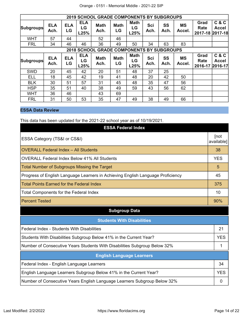|                  |                    |                  |                          | 2019 SCHOOL GRADE COMPONENTS BY SUBGROUPS        |                   |                           |                    |            |                     |                                 |                |
|------------------|--------------------|------------------|--------------------------|--------------------------------------------------|-------------------|---------------------------|--------------------|------------|---------------------|---------------------------------|----------------|
| <b>Subgroups</b> | <b>ELA</b><br>Ach. | <b>ELA</b><br>LG | <b>ELA</b><br>LG<br>L25% | <b>Math</b><br>Ach.                              | <b>Math</b><br>LG | <b>Math</b><br>LG<br>L25% | Sci<br>Ach.        | SS<br>Ach. | <b>MS</b><br>Accel. | Grad<br>Rate<br>2017-18 2017-18 | C & C<br>Accel |
| <b>WHT</b>       | 57                 | 44               |                          | 52                                               | 46                |                           |                    |            |                     |                                 |                |
| <b>FRL</b>       | 34                 | 46               | 46                       | 36                                               | 49                | 50                        | 34                 | 63         | 83                  |                                 |                |
|                  |                    |                  |                          | <b>2018 SCHOOL GRADE COMPONENTS BY SUBGROUPS</b> |                   |                           |                    |            |                     |                                 |                |
| <b>Subgroups</b> | <b>ELA</b><br>Ach. | <b>ELA</b><br>LG | <b>ELA</b><br>LG<br>L25% | <b>Math</b><br>Ach.                              | <b>Math</b><br>LG | <b>Math</b><br>LG<br>L25% | <b>Sci</b><br>Ach. | SS<br>Ach. | <b>MS</b><br>Accel. | Grad<br>Rate<br>2016-17 2016-17 | C & C<br>Accel |
| <b>SWD</b>       | 20                 | 45               | 42                       | 20                                               | 51                | 48                        | 37                 | 25         |                     |                                 |                |
| ELL              | 18                 | 45               | 42                       | 19                                               | 41                | 48                        | 20                 | 42         | 50                  |                                 |                |
| <b>BLK</b>       | 30                 | 51               | 57                       | 31                                               | 45                | 48                        | 35                 | 47         | 56                  |                                 |                |
| <b>HSP</b>       | 35                 | 51               | 40                       | 38                                               | 49                | 59                        | 43                 | 56         | 62                  |                                 |                |
| <b>WHT</b>       | 36                 | 46               |                          | 43                                               | 69                |                           |                    |            |                     |                                 |                |
| <b>FRL</b>       | 31                 | 50               | 53                       | 35                                               | 47                | 49                        | 38                 | 49         | 66                  |                                 |                |

# **ESSA Data Review**

This data has been updated for the 2021-22 school year as of 10/19/2021.

| <b>ESSA Federal Index</b>                                                       |                    |
|---------------------------------------------------------------------------------|--------------------|
| ESSA Category (TS&I or CS&I)                                                    | [not<br>available] |
| <b>OVERALL Federal Index - All Students</b>                                     | 38                 |
| <b>OVERALL Federal Index Below 41% All Students</b>                             | <b>YES</b>         |
| <b>Total Number of Subgroups Missing the Target</b>                             | 5                  |
| Progress of English Language Learners in Achieving English Language Proficiency | 45                 |
| <b>Total Points Earned for the Federal Index</b>                                | 375                |
| <b>Total Components for the Federal Index</b>                                   | 10                 |
| <b>Percent Tested</b>                                                           | 90%                |
| <b>Subgroup Data</b>                                                            |                    |
| <b>Students With Disabilities</b>                                               |                    |
| Federal Index - Students With Disabilities                                      | 21                 |
| Students With Disabilities Subgroup Below 41% in the Current Year?              | <b>YES</b>         |
| Number of Consecutive Years Students With Disabilities Subgroup Below 32%       | 1                  |
| <b>English Language Learners</b>                                                |                    |
| Federal Index - English Language Learners                                       | 34                 |
| English Language Learners Subgroup Below 41% in the Current Year?               | <b>YES</b>         |
|                                                                                 |                    |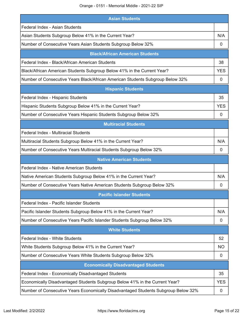Orange - 0151 - Memorial Middle - 2021-22 SIP

| <b>Asian Students</b>                                                          |            |
|--------------------------------------------------------------------------------|------------|
| Federal Index - Asian Students                                                 |            |
| Asian Students Subgroup Below 41% in the Current Year?                         | N/A        |
| Number of Consecutive Years Asian Students Subgroup Below 32%                  | 0          |
| <b>Black/African American Students</b>                                         |            |
| Federal Index - Black/African American Students                                | 38         |
| Black/African American Students Subgroup Below 41% in the Current Year?        | <b>YES</b> |
| Number of Consecutive Years Black/African American Students Subgroup Below 32% | 0          |
| <b>Hispanic Students</b>                                                       |            |
| Federal Index - Hispanic Students                                              | 35         |
| Hispanic Students Subgroup Below 41% in the Current Year?                      | <b>YES</b> |
| Number of Consecutive Years Hispanic Students Subgroup Below 32%               | 0          |
| <b>Multiracial Students</b>                                                    |            |
| Federal Index - Multiracial Students                                           |            |
| Multiracial Students Subgroup Below 41% in the Current Year?                   | N/A        |
| Number of Consecutive Years Multiracial Students Subgroup Below 32%            | 0          |
|                                                                                |            |
| <b>Native American Students</b>                                                |            |
| Federal Index - Native American Students                                       |            |
| Native American Students Subgroup Below 41% in the Current Year?               | N/A        |
| Number of Consecutive Years Native American Students Subgroup Below 32%        | 0          |
| <b>Pacific Islander Students</b>                                               |            |
| Federal Index - Pacific Islander Students                                      |            |
| Pacific Islander Students Subgroup Below 41% in the Current Year?              | N/A        |
| Number of Consecutive Years Pacific Islander Students Subgroup Below 32%       | 0          |
| <b>White Students</b>                                                          |            |
| <b>Federal Index - White Students</b>                                          | 52         |
| White Students Subgroup Below 41% in the Current Year?                         | <b>NO</b>  |
| Number of Consecutive Years White Students Subgroup Below 32%                  | 0          |
| <b>Economically Disadvantaged Students</b>                                     |            |
| Federal Index - Economically Disadvantaged Students                            | 35         |
| Economically Disadvantaged Students Subgroup Below 41% in the Current Year?    | <b>YES</b> |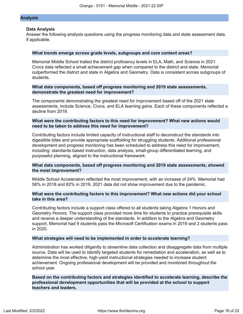### **Analysis**

### **Data Analysis**

Answer the following analysis questions using the progress monitoring data and state assessment data, if applicable.

#### **What trends emerge across grade levels, subgroups and core content areas?**

Memorial Middle School trailed the district proficiency levels in ELA, Math, and Science in 2021. Civics data reflected a small achievement gap when compared to the district and state. Memorial outperformed the district and state in Algebra and Geometry. Data is consistent across subgroups of students.

### **What data components, based off progress monitoring and 2019 state assessments, demonstrate the greatest need for improvement?**

The components demonstrating the greatest need for improvement based off of the 2021 state assessments, include Science, Civics, and ELA learning gains. Each of these components reflected a decline from 2019.

## **What were the contributing factors to this need for improvement? What new actions would need to be taken to address this need for improvement?**

Contributing factors include limited capacity of instructional staff to deconstruct the standards into digestible bites and provide appropriate scaffolding for struggling students. Additional professional development and progress monitoring has been scheduled to address this need for improvement, including: standards-based instruction, data analysis, small-group differentiated learning, and purposeful planning, aligned to the instructional framework.

## **What data components, based off progress monitoring and 2019 state assessments, showed the most improvement?**

Middle School Acceleration reflected the most improvement, with an increase of 24%. Memorial had 58% in 2018 and 82% in 2019. 2021 data did not show improvement due to the pandemic.

### **What were the contributing factors to this improvement? What new actions did your school take in this area?**

Contributing factors include a support class offered to all students taking Algebra 1 Honors and Geometry Honors. The support class provided more time for students to practice prerequisite skills and receive a deeper understanding of the standards. In addition to the Algebra and Geometry support, Memorial had 9 students pass the Microsoft Certification exams in 2019 and 2 students pass in 2020.

### **What strategies will need to be implemented in order to accelerate learning?**

Administration has worked diligently to streamline data collection and disaggregate data from multiple source. Data will be used to identify targeted students for remediation and acceleration, as well as to determine the most effective, high-yield instructional strategies needed to increase student achievement. Ongoing professional development will be provided and monitored throughout the school year.

**Based on the contributing factors and strategies identified to accelerate learning, describe the professional development opportunities that will be provided at the school to support teachers and leaders.**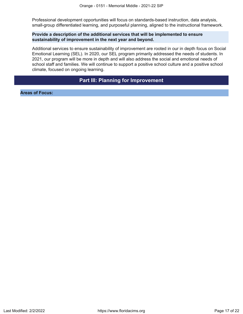Professional development opportunities will focus on standards-based instruction, data analysis, small-group differentiated learning, and purposeful planning, aligned to the instructional framework.

### **Provide a description of the additional services that will be implemented to ensure sustainability of improvement in the next year and beyond.**

Additional services to ensure sustainability of improvement are rooted in our in depth focus on Social Emotional Learning (SEL). In 2020, our SEL program primarily addressed the needs of students. In 2021, our program will be more in depth and will also address the social and emotional needs of school staff and families. We will continue to support a positive school culture and a positive school climate, focused on ongoing learning.

# **Part III: Planning for Improvement**

<span id="page-16-0"></span>**Areas of Focus:**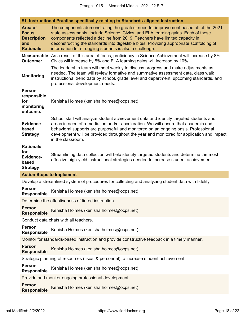| #1. Instructional Practice specifically relating to Standards-aligned Instruction |  |  |
|-----------------------------------------------------------------------------------|--|--|
|                                                                                   |  |  |

| Area of<br><b>Focus</b><br><b>Description</b><br>and<br><b>Rationale:</b> | The components demonstrating the greatest need for improvement based off of the 2021<br>state assessments, include Science, Civics, and ELA learning gains. Each of these<br>components reflected a decline from 2019. Teachers have limited capacity in<br>deconstructing the standards into digestible bites. Providing appropriate scaffolding of<br>information for struggling students is also a challenge. |  |  |  |  |  |
|---------------------------------------------------------------------------|------------------------------------------------------------------------------------------------------------------------------------------------------------------------------------------------------------------------------------------------------------------------------------------------------------------------------------------------------------------------------------------------------------------|--|--|--|--|--|
| <b>Measureable</b><br><b>Outcome:</b>                                     | As a result of this area of focus, proficiency in Science Achievement will increase by 8%,<br>Civics will increase by 5% and ELA learning gains will increase by 10%.                                                                                                                                                                                                                                            |  |  |  |  |  |
| <b>Monitoring:</b>                                                        | The leadership team will meet weekly to discuss progress and make adjustments as<br>needed. The team will review formative and summative assessment data, class walk<br>instructional trend data by school, grade level and department, upcoming standards, and<br>professional development needs.                                                                                                               |  |  |  |  |  |
| <b>Person</b><br>responsible<br>for<br>monitoring<br>outcome:             | Kenisha Holmes (kenisha.holmes@ocps.net)                                                                                                                                                                                                                                                                                                                                                                         |  |  |  |  |  |
| Evidence-<br>based<br><b>Strategy:</b>                                    | School staff will analyze student achievement data and identify targeted students and<br>areas in need of remediation and/or acceleration. We will ensure that academic and<br>behavioral supports are purposeful and monitored on an ongoing basis. Professional<br>development will be provided throughout the year and monitored for application and impact<br>in the classroom.                              |  |  |  |  |  |
| <b>Rationale</b><br>for                                                   |                                                                                                                                                                                                                                                                                                                                                                                                                  |  |  |  |  |  |
| Evidence-<br>based<br><b>Strategy:</b>                                    | Streamlining data collection will help identify targeted students and determine the most<br>effective high-yield instructional strategies needed to increase student achievement.                                                                                                                                                                                                                                |  |  |  |  |  |
| <b>Action Steps to Implement</b>                                          |                                                                                                                                                                                                                                                                                                                                                                                                                  |  |  |  |  |  |
|                                                                           | Develop a streamlined system of procedures for collecting and analyzing student data with fidelity                                                                                                                                                                                                                                                                                                               |  |  |  |  |  |
| <b>Person</b><br><b>Responsible</b>                                       | Kenisha Holmes (kenisha.holmes@ocps.net)                                                                                                                                                                                                                                                                                                                                                                         |  |  |  |  |  |
|                                                                           | Determine the effectiveness of tiered instruction.                                                                                                                                                                                                                                                                                                                                                               |  |  |  |  |  |
| <b>Person</b><br><b>Responsible</b>                                       | Kenisha Holmes (kenisha.holmes@ocps.net)                                                                                                                                                                                                                                                                                                                                                                         |  |  |  |  |  |
|                                                                           | Conduct data chats with all teachers.                                                                                                                                                                                                                                                                                                                                                                            |  |  |  |  |  |
| <b>Person</b><br>Responsible                                              | Kenisha Holmes (kenisha.holmes@ocps.net)                                                                                                                                                                                                                                                                                                                                                                         |  |  |  |  |  |
|                                                                           | Monitor for standards-based instruction and provide constructive feedback in a timely manner.                                                                                                                                                                                                                                                                                                                    |  |  |  |  |  |
| <b>Person</b><br><b>Responsible</b>                                       | Kenisha Holmes (kenisha.holmes@ocps.net)                                                                                                                                                                                                                                                                                                                                                                         |  |  |  |  |  |
|                                                                           | Strategic planning of resources (fiscal & personnel) to increase student achievement.                                                                                                                                                                                                                                                                                                                            |  |  |  |  |  |
| <b>Person</b><br>Responsible                                              | Kenisha Holmes (kenisha.holmes@ocps.net)                                                                                                                                                                                                                                                                                                                                                                         |  |  |  |  |  |
| Provide and monitor ongoing professional development.                     |                                                                                                                                                                                                                                                                                                                                                                                                                  |  |  |  |  |  |
| <b>Person</b><br><b>Responsible</b>                                       | Kenisha Holmes (kenisha.holmes@ocps.net)                                                                                                                                                                                                                                                                                                                                                                         |  |  |  |  |  |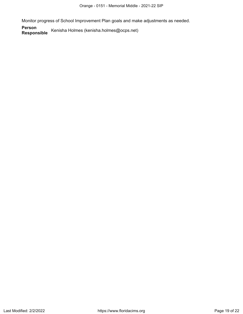Monitor progress of School Improvement Plan goals and make adjustments as needed.

**Person** Kenisha Holmes (kenisha.holmes@ocps.net)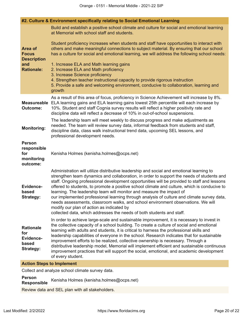|                                                                          | #2. Culture & Environment specifically relating to Social Emotional Learning                                                                                                                                                                                                                                                                                                                                                                                                                                                                                                                                                                                                                                                                                         |  |  |  |  |
|--------------------------------------------------------------------------|----------------------------------------------------------------------------------------------------------------------------------------------------------------------------------------------------------------------------------------------------------------------------------------------------------------------------------------------------------------------------------------------------------------------------------------------------------------------------------------------------------------------------------------------------------------------------------------------------------------------------------------------------------------------------------------------------------------------------------------------------------------------|--|--|--|--|
|                                                                          | Build and establish a positive school climate and culture for social and emotional learning<br>at Memorial with school staff and students.                                                                                                                                                                                                                                                                                                                                                                                                                                                                                                                                                                                                                           |  |  |  |  |
| <b>Area of</b><br><b>Focus</b><br><b>Description</b>                     | Student proficiency increases when students and staff have opportunities to interact with<br>others and make meaningful connections to subject material. By ensuring that our school<br>has a culture for social and emotional learning, we will address the following school needs:                                                                                                                                                                                                                                                                                                                                                                                                                                                                                 |  |  |  |  |
| and<br><b>Rationale:</b>                                                 | 1. Increase ELA and Math learning gains<br>2. Increase ELA and Math proficiency<br>3. Increase Science proficiency<br>4. Strengthen teacher instructional capacity to provide rigorous instruction<br>5. Provide a safe and welcoming environment, conducive to collaboration, learning and<br>growth                                                                                                                                                                                                                                                                                                                                                                                                                                                                |  |  |  |  |
| <b>Measureable</b><br><b>Outcome:</b>                                    | As a result of this area of focus, proficiency in Science Achievement will increase by 8%.<br>ELA learning gains and ELA learning gains lowest 25th percentile will each increase by<br>10%. Student and staff Cognia survey results will reflect a higher positivity rate and<br>discipline data will reflect a decrease of 10% in out-of-school suspensions.                                                                                                                                                                                                                                                                                                                                                                                                       |  |  |  |  |
| <b>Monitoring:</b>                                                       | The leadership team will meet weekly to discuss progress and make adjustments as<br>needed. The team will review survey data, informal feedback from students and staff,<br>discipline data, class walk instructional trend data, upcoming SEL lessons, and<br>professional development needs.                                                                                                                                                                                                                                                                                                                                                                                                                                                                       |  |  |  |  |
| <b>Person</b><br>responsible<br>for<br>monitoring<br>outcome:            | Kenisha Holmes (kenisha.holmes@ocps.net)                                                                                                                                                                                                                                                                                                                                                                                                                                                                                                                                                                                                                                                                                                                             |  |  |  |  |
| <b>Evidence-</b><br>based<br><b>Strategy:</b>                            | Administration will utilize distributive leadership and social and emotional learning to<br>strengthen team dynamics and collaboration, in order to support the needs of students and<br>staff. Ongoing professional development opportunities will be provided to staff and lessons<br>offered to students, to promote a positive school climate and culture, which is conducive to<br>learning. The leadership team will monitor and measure the impact of<br>our implemented professional learning through analysis of culture and climate survey data,<br>needs assessments, classroom walks, and school environment observations. We will<br>modify our plan of action as indicated by<br>collected data, which addresses the needs of both students and staff. |  |  |  |  |
| <b>Rationale</b><br>for<br><b>Evidence-</b><br>based<br><b>Strategy:</b> | In order to achieve large-scale and sustainable improvement, it is necessary to invest in<br>the collective capacity of a school building. To create a culture of social and emotional<br>learning with adults and students, it is critical to harness the professional skills and<br>leadership capabilities of everyone in the school. Research indicates that for sustainable<br>improvement efforts to be realized, collective ownership is necessary. Through a<br>distributive leadership model, Memorial will implement efficient and sustainable continuous<br>improvement practices that will support the social, emotional, and academic development<br>of every student.                                                                                  |  |  |  |  |
| Action Stane to Implament                                                |                                                                                                                                                                                                                                                                                                                                                                                                                                                                                                                                                                                                                                                                                                                                                                      |  |  |  |  |

#### **Action Steps to Implement**

Collect and analyze school climate survey data.

# **Person** Kenisha Holmes (kenisha.holmes@ocps.net)

Review data and SEL plan with all stakeholders.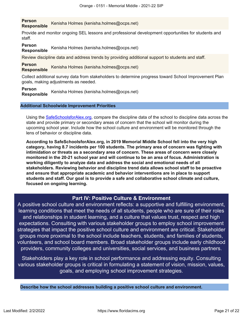**Person Responsible** Kenisha Holmes (kenisha.holmes@ocps.net)

Provide and monitor ongoing SEL lessons and professional development opportunities for students and staff.

## **Person**

**Responsible** Kenisha Holmes (kenisha.holmes@ocps.net)

Review discipline data and address trends by providing additional support to students and staff.

**Person Responsible** Kenisha Holmes (kenisha.holmes@ocps.net)

Collect additional survey data from stakeholders to determine progress toward School Improvement Plan goals, making adjustments as needed.

### **Person**

**Responsible** Kenisha Holmes (kenisha.holmes@ocps.net)

## **Additional Schoolwide Improvement Priorities**

Using the [SafeSchoolsforAlex.org](https://www.safeschoolsforalex.org/fl-school-safety-dashboard/), compare the discipline data of the school to discipline data across the state and provide primary or secondary areas of concern that the school will monitor during the upcoming school year. Include how the school culture and environment will be monitored through the lens of behavior or discipline data.

**According to SafeSchoolsforAlex.org, in 2019 Memorial Middle School fell into the very high category, having 8.7 incidents per 100 students. The primary area of concern was fighting with intimidation or threats as a secondary area of concern. These areas of concern were closely monitored in the 20-21 school year and will continue to be an area of focus. Administration is working diligently to analyze data and address the social and emotional needs of all stakeholders. Reviewing behavior and discipline trend data allows school staff to be proactive and ensure that appropriate academic and behavior interventions are in place to support students and staff. Our goal is to provide a safe and collaborative school climate and culture, focused on ongoing learning.**

# **Part IV: Positive Culture & Environment**

<span id="page-20-0"></span>A positive school culture and environment reflects: a supportive and fulfilling environment, learning conditions that meet the needs of all students, people who are sure of their roles and relationships in student learning, and a culture that values trust, respect and high expectations. Consulting with various stakeholder groups to employ school improvement strategies that impact the positive school culture and environment are critical. Stakeholder groups more proximal to the school include teachers, students, and families of students, volunteers, and school board members. Broad stakeholder groups include early childhood providers, community colleges and universities, social services, and business partners.

Stakeholders play a key role in school performance and addressing equity. Consulting various stakeholder groups is critical in formulating a statement of vision, mission, values, goals, and employing school improvement strategies.

**Describe how the school addresses building a positive school culture and environment.**